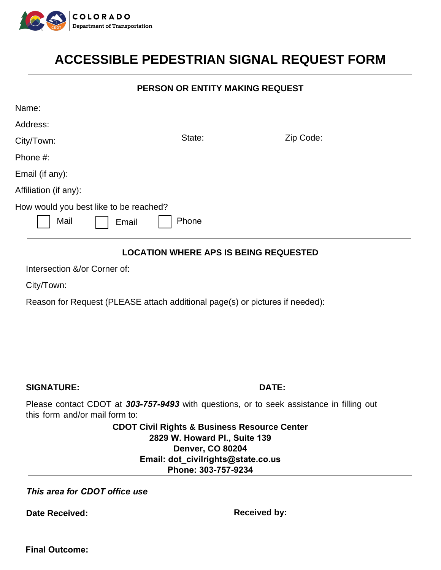

# **ACCESSIBLE PEDESTRIAN SIGNAL REQUEST FORM<br>PERSON OR ENTITY MAKING REQUEST PORM**

### PERSON OR ENTITY MAKING REQUEST

| Name:                                                                                                                                            |                                                                                                                     |           |
|--------------------------------------------------------------------------------------------------------------------------------------------------|---------------------------------------------------------------------------------------------------------------------|-----------|
| Address:                                                                                                                                         |                                                                                                                     |           |
| City/Town:                                                                                                                                       | State:                                                                                                              | Zip Code: |
| Phone #:                                                                                                                                         |                                                                                                                     |           |
| Email (if any):                                                                                                                                  |                                                                                                                     |           |
| Affiliation (if any):                                                                                                                            |                                                                                                                     |           |
| How would you best like to be reached?<br>Mail<br>Phone<br>Email<br><b>LOCATION WHERE APS IS BEING REQUESTED</b><br>Intersection &/or Corner of: |                                                                                                                     |           |
|                                                                                                                                                  |                                                                                                                     |           |
| Reason for Request (PLEASE attach additional page(s) or pictures if needed):                                                                     |                                                                                                                     |           |
| <b>SIGNATURE:</b>                                                                                                                                |                                                                                                                     | DATE:     |
| Please contact CDOT at 303-757-9493 with questions, or to seek assistance in filling out<br>this form and/or mail form to:                       |                                                                                                                     |           |
|                                                                                                                                                  | <b>CDOT Civil Rights &amp; Business Resource Center</b><br>2829 W. Howard Pl., Suite 139<br><b>Denver, CO 80204</b> |           |
| Email: dot_civilrights@state.co.us<br>Phone: 303-757-9234                                                                                        |                                                                                                                     |           |
| This area for CDOT office use                                                                                                                    |                                                                                                                     |           |

Date Received: **Received: Received by: Received by:** 

**Final Outcome:**